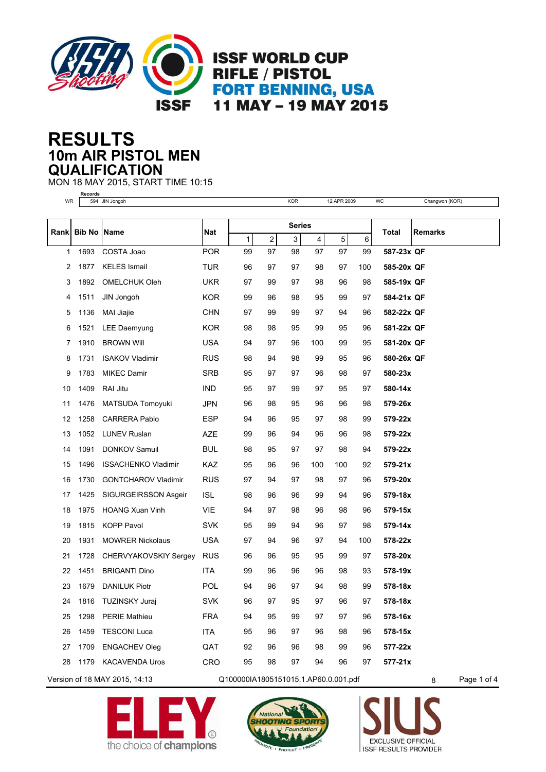

## **10m AIR PISTOL MEN RESULTS QUALIFICATION**

**Records**

MON 18 MAY 2015, START TIME 10:15

| WR   |               | 594 JIN Jongoh             |            |             |                | <b>KOR</b>    |     | 12 APR 2009 |     | WC         | Changwon (KOR) |
|------|---------------|----------------------------|------------|-------------|----------------|---------------|-----|-------------|-----|------------|----------------|
|      |               |                            |            |             |                |               |     |             |     |            |                |
| Rank | <b>Bib No</b> | Name                       | <b>Nat</b> |             |                | <b>Series</b> |     |             |     | Total      | <b>Remarks</b> |
|      |               |                            |            | $\mathbf 1$ | $\overline{c}$ | 3             | 4   | $\mathbf 5$ | 6   |            |                |
| 1    | 1693          | COSTA Joao                 | <b>POR</b> | 99          | 97             | 98            | 97  | 97          | 99  | 587-23x QF |                |
| 2    | 1877          | <b>KELES Ismail</b>        | TUR        | 96          | 97             | 97            | 98  | 97          | 100 | 585-20x QF |                |
| 3    | 1892          | <b>OMELCHUK Oleh</b>       | <b>UKR</b> | 97          | 99             | 97            | 98  | 96          | 98  | 585-19x QF |                |
| 4    | 1511          | JIN Jongoh                 | <b>KOR</b> | 99          | 96             | 98            | 95  | 99          | 97  | 584-21x QF |                |
| 5    | 1136          | MAI Jiajie                 | <b>CHN</b> | 97          | 99             | 99            | 97  | 94          | 96  | 582-22x QF |                |
| 6    | 1521          | LEE Daemyung               | <b>KOR</b> | 98          | 98             | 95            | 99  | 95          | 96  | 581-22x QF |                |
| 7    | 1910          | <b>BROWN Will</b>          | <b>USA</b> | 94          | 97             | 96            | 100 | 99          | 95  | 581-20x QF |                |
| 8    | 1731          | <b>ISAKOV Vladimir</b>     | <b>RUS</b> | 98          | 94             | 98            | 99  | 95          | 96  | 580-26x QF |                |
| 9    | 1783          | <b>MIKEC Damir</b>         | <b>SRB</b> | 95          | 97             | 97            | 96  | 98          | 97  | 580-23x    |                |
| 10   | 1409          | RAI Jitu                   | <b>IND</b> | 95          | 97             | 99            | 97  | 95          | 97  | 580-14x    |                |
| 11   | 1476          | MATSUDA Tomoyuki           | <b>JPN</b> | 96          | 98             | 95            | 96  | 96          | 98  | 579-26x    |                |
| 12   | 1258          | <b>CARRERA Pablo</b>       | <b>ESP</b> | 94          | 96             | 95            | 97  | 98          | 99  | 579-22x    |                |
| 13   | 1052          | <b>LUNEV Ruslan</b>        | AZE        | 99          | 96             | 94            | 96  | 96          | 98  | 579-22x    |                |
| 14   | 1091          | <b>DONKOV Samuil</b>       | <b>BUL</b> | 98          | 95             | 97            | 97  | 98          | 94  | 579-22x    |                |
| 15   | 1496          | <b>ISSACHENKO Vladimir</b> | KAZ        | 95          | 96             | 96            | 100 | 100         | 92  | 579-21x    |                |
| 16   | 1730          | <b>GONTCHAROV Vladimir</b> | <b>RUS</b> | 97          | 94             | 97            | 98  | 97          | 96  | 579-20x    |                |
| 17   | 1425          | SIGURGEIRSSON Asgeir       | <b>ISL</b> | 98          | 96             | 96            | 99  | 94          | 96  | 579-18x    |                |
| 18   | 1975          | <b>HOANG Xuan Vinh</b>     | <b>VIE</b> | 94          | 97             | 98            | 96  | 98          | 96  | 579-15x    |                |
| 19   | 1815          | <b>KOPP Pavol</b>          | <b>SVK</b> | 95          | 99             | 94            | 96  | 97          | 98  | 579-14x    |                |
| 20   | 1931          | <b>MOWRER Nickolaus</b>    | <b>USA</b> | 97          | 94             | 96            | 97  | 94          | 100 | 578-22x    |                |
| 21   | 1728          | CHERVYAKOVSKIY Sergey      | <b>RUS</b> | 96          | 96             | 95            | 95  | 99          | 97  | 578-20x    |                |
| 22   | 1451          | <b>BRIGANTI Dino</b>       | <b>ITA</b> | 99          | 96             | 96            | 96  | 98          | 93  | 578-19x    |                |
| 23   | 1679          | <b>DANILUK Piotr</b>       | <b>POL</b> | 94          | 96             | 97            | 94  | 98          | 99  | 578-18x    |                |
| 24   | 1816          | <b>TUZINSKY Juraj</b>      | <b>SVK</b> | 96          | 97             | 95            | 97  | 96          | 97  | 578-18x    |                |
| 25   | 1298          | <b>PERIE Mathieu</b>       | <b>FRA</b> | 94          | 95             | 99            | 97  | 97          | 96  | 578-16x    |                |
| 26   | 1459          | <b>TESCONI Luca</b>        | ITA        | 95          | 96             | 97            | 96  | 98          | 96  | 578-15x    |                |
| 27   | 1709          | <b>ENGACHEV Oleg</b>       | QAT        | 92          | 96             | 96            | 98  | 99          | 96  | 577-22x    |                |
| 28   | 1179          | <b>KACAVENDA Uros</b>      | CRO        | 95          | 98             | 97            | 94  | 96          | 97  | 577-21x    |                |
|      |               |                            |            |             |                |               |     |             |     |            |                |

Version of 18 MAY 2015, 14:13 Q100000IA1805151015.1.AP60.0.001.pdf 8 Page 1 of 4





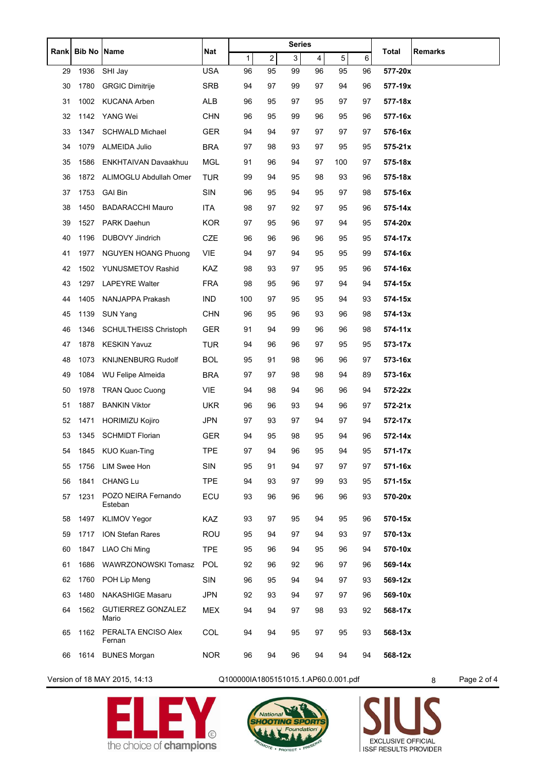|      | <b>Bib No Name</b> |                                    | Nat        |     |                | <b>Series</b> |    |     |    |                  |
|------|--------------------|------------------------------------|------------|-----|----------------|---------------|----|-----|----|------------------|
| Rank |                    |                                    |            | 1   | $\overline{c}$ | 3             | 4  | 5   | 6  | Total<br>Remarks |
| 29   | 1936               | SHI Jay                            | <b>USA</b> | 96  | 95             | 99            | 96 | 95  | 96 | 577-20x          |
| 30   | 1780               | <b>GRGIC Dimitrije</b>             | SRB        | 94  | 97             | 99            | 97 | 94  | 96 | 577-19x          |
| 31   | 1002               | <b>KUCANA Arben</b>                | ALB        | 96  | 95             | 97            | 95 | 97  | 97 | 577-18x          |
| 32   | 1142               | YANG Wei                           | <b>CHN</b> | 96  | 95             | 99            | 96 | 95  | 96 | 577-16x          |
| 33   | 1347               | <b>SCHWALD Michael</b>             | <b>GER</b> | 94  | 94             | 97            | 97 | 97  | 97 | 576-16x          |
| 34   | 1079               | ALMEIDA Julio                      | <b>BRA</b> | 97  | 98             | 93            | 97 | 95  | 95 | $575 - 21x$      |
| 35   | 1586               | <b>ENKHTAIVAN Davaakhuu</b>        | MGL        | 91  | 96             | 94            | 97 | 100 | 97 | 575-18x          |
| 36   | 1872               | ALIMOGLU Abdullah Omer             | TUR        | 99  | 94             | 95            | 98 | 93  | 96 | 575-18x          |
| 37   | 1753               | <b>GAI Bin</b>                     | SIN        | 96  | 95             | 94            | 95 | 97  | 98 | 575-16x          |
| 38   | 1450               | <b>BADARACCHI Mauro</b>            | ITA        | 98  | 97             | 92            | 97 | 95  | 96 | 575-14x          |
| 39   | 1527               | PARK Daehun                        | <b>KOR</b> | 97  | 95             | 96            | 97 | 94  | 95 | 574-20x          |
| 40   | 1196               | DUBOVY Jindrich                    | CZE        | 96  | 96             | 96            | 96 | 95  | 95 | 574-17x          |
| 41   | 1977               | NGUYEN HOANG Phuong                | VIE        | 94  | 97             | 94            | 95 | 95  | 99 | 574-16x          |
| 42   | 1502               | YUNUSMETOV Rashid                  | <b>KAZ</b> | 98  | 93             | 97            | 95 | 95  | 96 | 574-16x          |
| 43   | 1297               | <b>LAPEYRE Walter</b>              | <b>FRA</b> | 98  | 95             | 96            | 97 | 94  | 94 | 574-15x          |
| 44   | 1405               | NANJAPPA Prakash                   | IND        | 100 | 97             | 95            | 95 | 94  | 93 | 574-15x          |
| 45   | 1139               | <b>SUN Yang</b>                    | <b>CHN</b> | 96  | 95             | 96            | 93 | 96  | 98 | 574-13x          |
| 46   | 1346               | <b>SCHULTHEISS Christoph</b>       | <b>GER</b> | 91  | 94             | 99            | 96 | 96  | 98 | 574-11x          |
| 47   | 1878               | <b>KESKIN Yavuz</b>                | <b>TUR</b> | 94  | 96             | 96            | 97 | 95  | 95 | 573-17x          |
| 48   | 1073               | <b>KNIJNENBURG Rudolf</b>          | <b>BOL</b> | 95  | 91             | 98            | 96 | 96  | 97 | 573-16x          |
| 49   | 1084               | WU Felipe Almeida                  | BRA        | 97  | 97             | 98            | 98 | 94  | 89 | 573-16x          |
| 50   | 1978               | <b>TRAN Quoc Cuong</b>             | VIE        | 94  | 98             | 94            | 96 | 96  | 94 | 572-22x          |
| 51   | 1887               | <b>BANKIN Viktor</b>               | <b>UKR</b> | 96  | 96             | 93            | 94 | 96  | 97 | $572 - 21x$      |
| 52   | 1471               | <b>HORIMIZU Kojiro</b>             | <b>JPN</b> | 97  | 93             | 97            | 94 | 97  | 94 | 572-17x          |
| 53   |                    | 1345 SCHMIDT Florian               | <b>GER</b> | 94  | 95             | 98            | 95 | 94  | 96 | 572-14x          |
| 54   |                    | 1845 KUO Kuan-Ting                 | <b>TPE</b> | 97  | 94             | 96            | 95 | 94  | 95 | 571-17x          |
| 55   | 1756               | <b>LIM Swee Hon</b>                | SIN        | 95  | 91             | 94            | 97 | 97  | 97 | 571-16x          |
| 56   | 1841               | CHANG Lu                           | <b>TPE</b> | 94  | 93             | 97            | 99 | 93  | 95 | 571-15x          |
| 57   | 1231               | POZO NEIRA Fernando<br>Esteban     | ECU        | 93  | 96             | 96            | 96 | 96  | 93 | 570-20x          |
| 58   | 1497               | <b>KLIMOV Yegor</b>                | KAZ        | 93  | 97             | 95            | 94 | 95  | 96 | 570-15x          |
| 59   | 1717               | ION Stefan Rares                   | <b>ROU</b> | 95  | 94             | 97            | 94 | 93  | 97 | 570-13x          |
| 60   | 1847               | LIAO Chi Ming                      | <b>TPE</b> | 95  | 96             | 94            | 95 | 96  | 94 | 570-10x          |
| 61   | 1686               | WAWRZONOWSKI Tomasz                | <b>POL</b> | 92  | 96             | 92            | 96 | 97  | 96 | 569-14x          |
| 62   | 1760               | POH Lip Meng                       | SIN        | 96  | 95             | 94            | 94 | 97  | 93 | 569-12x          |
| 63   | 1480               | <b>NAKASHIGE Masaru</b>            | <b>JPN</b> | 92  | 93             | 94            | 97 | 97  | 96 | 569-10x          |
| 64   | 1562               | <b>GUTIERREZ GONZALEZ</b><br>Mario | MEX        | 94  | 94             | 97            | 98 | 93  | 92 | 568-17x          |
| 65   | 1162               | PERALTA ENCISO Alex<br>Fernan      | COL        | 94  | 94             | 95            | 97 | 95  | 93 | 568-13x          |
| 66   | 1614               | <b>BUNES Morgan</b>                | <b>NOR</b> | 96  | 94             | 96            | 94 | 94  | 94 | 568-12x          |

Version of 18 MAY 2015, 14:13 Q100000IA1805151015.1.AP60.0.001.pdf 8 Page 2 of 4





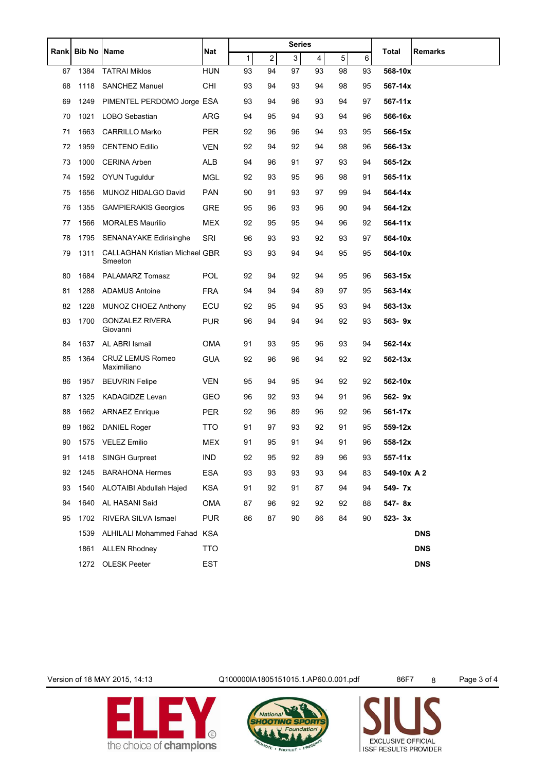|      | <b>Bib No</b> | <b>Name</b>                                      | Nat        |    |    | Series |    |    |    |             |            |
|------|---------------|--------------------------------------------------|------------|----|----|--------|----|----|----|-------------|------------|
| Rank |               |                                                  |            | 1  | 2  | 3      | 4  | 5  | 6  | Total       | Remarks    |
| 67   | 1384          | <b>TATRAI Miklos</b>                             | <b>HUN</b> | 93 | 94 | 97     | 93 | 98 | 93 | 568-10x     |            |
| 68   | 1118          | <b>SANCHEZ Manuel</b>                            | <b>CHI</b> | 93 | 94 | 93     | 94 | 98 | 95 | 567-14x     |            |
| 69   | 1249          | PIMENTEL PERDOMO Jorge ESA                       |            | 93 | 94 | 96     | 93 | 94 | 97 | 567-11x     |            |
| 70   | 1021          | LOBO Sebastian                                   | ARG        | 94 | 95 | 94     | 93 | 94 | 96 | 566-16x     |            |
| 71   | 1663          | <b>CARRILLO Marko</b>                            | <b>PER</b> | 92 | 96 | 96     | 94 | 93 | 95 | 566-15x     |            |
| 72   | 1959          | <b>CENTENO Edilio</b>                            | <b>VEN</b> | 92 | 94 | 92     | 94 | 98 | 96 | 566-13x     |            |
| 73   | 1000          | <b>CERINA Arben</b>                              | <b>ALB</b> | 94 | 96 | 91     | 97 | 93 | 94 | 565-12x     |            |
| 74   | 1592          | <b>OYUN Tuguldur</b>                             | <b>MGL</b> | 92 | 93 | 95     | 96 | 98 | 91 | 565-11x     |            |
| 75   | 1656          | MUNOZ HIDALGO David                              | <b>PAN</b> | 90 | 91 | 93     | 97 | 99 | 94 | 564-14x     |            |
| 76   | 1355          | <b>GAMPIERAKIS Georgios</b>                      | <b>GRE</b> | 95 | 96 | 93     | 96 | 90 | 94 | 564-12x     |            |
| 77   | 1566          | <b>MORALES Maurilio</b>                          | <b>MEX</b> | 92 | 95 | 95     | 94 | 96 | 92 | 564-11x     |            |
| 78   | 1795          | SENANAYAKE Edirisinghe                           | SRI        | 96 | 93 | 93     | 92 | 93 | 97 | 564-10x     |            |
| 79   | 1311          | <b>CALLAGHAN Kristian Michael GBR</b><br>Smeeton |            | 93 | 93 | 94     | 94 | 95 | 95 | 564-10x     |            |
| 80   | 1684          | PALAMARZ Tomasz                                  | <b>POL</b> | 92 | 94 | 92     | 94 | 95 | 96 | 563-15x     |            |
| 81   | 1288          | <b>ADAMUS Antoine</b>                            | <b>FRA</b> | 94 | 94 | 94     | 89 | 97 | 95 | 563-14x     |            |
| 82   | 1228          | MUNOZ CHOEZ Anthony                              | ECU        | 92 | 95 | 94     | 95 | 93 | 94 | 563-13x     |            |
| 83   | 1700          | <b>GONZALEZ RIVERA</b><br>Giovanni               | <b>PUR</b> | 96 | 94 | 94     | 94 | 92 | 93 | 563-9x      |            |
| 84   | 1637          | AL ABRI Ismail                                   | OMA        | 91 | 93 | 95     | 96 | 93 | 94 | 562-14x     |            |
| 85   | 1364          | CRUZ LEMUS Romeo<br>Maximiliano                  | <b>GUA</b> | 92 | 96 | 96     | 94 | 92 | 92 | 562-13x     |            |
| 86   | 1957          | <b>BEUVRIN Felipe</b>                            | <b>VEN</b> | 95 | 94 | 95     | 94 | 92 | 92 | 562-10x     |            |
| 87   | 1325          | KADAGIDZE Levan                                  | GEO        | 96 | 92 | 93     | 94 | 91 | 96 | 562-9x      |            |
| 88   | 1662          | <b>ARNAEZ Enrique</b>                            | <b>PER</b> | 92 | 96 | 89     | 96 | 92 | 96 | 561-17x     |            |
| 89   | 1862          | <b>DANIEL Roger</b>                              | <b>TTO</b> | 91 | 97 | 93     | 92 | 91 | 95 | 559-12x     |            |
| 90   | 1575          | <b>VELEZ Emilio</b>                              | <b>MEX</b> | 91 | 95 | 91     | 94 | 91 | 96 | 558-12x     |            |
| 91   | 1418          | SINGH Gurpreet                                   | <b>IND</b> | 92 | 95 | 92     | 89 | 96 | 93 | 557-11x     |            |
| 92   | 1245          | <b>BARAHONA Hermes</b>                           | <b>ESA</b> | 93 | 93 | 93     | 93 | 94 | 83 | 549-10x A 2 |            |
| 93   | 1540          | ALOTAIBI Abdullah Hajed                          | <b>KSA</b> | 91 | 92 | 91     | 87 | 94 | 94 | 549- 7x     |            |
| 94   | 1640          | AL HASANI Said                                   | <b>OMA</b> | 87 | 96 | 92     | 92 | 92 | 88 | 547-8x      |            |
| 95   | 1702          | RIVERA SILVA Ismael                              | <b>PUR</b> | 86 | 87 | 90     | 86 | 84 | 90 | $523 - 3x$  |            |
|      | 1539          | ALHILALI Mohammed Fahad KSA                      |            |    |    |        |    |    |    |             | DNS        |
|      | 1861          | <b>ALLEN Rhodney</b>                             | <b>TTO</b> |    |    |        |    |    |    |             | <b>DNS</b> |
|      | 1272          | <b>OLESK Peeter</b>                              | EST        |    |    |        |    |    |    |             | <b>DNS</b> |
|      |               |                                                  |            |    |    |        |    |    |    |             |            |



Version of 18 MAY 2015, 14:13 Q100000IA1805151015.1.AP60.0.001.pdf 86F7 8 Page 3 of 4



EXCLUSIVE OFFICIAL<br>ISSF RESULTS PROVIDER